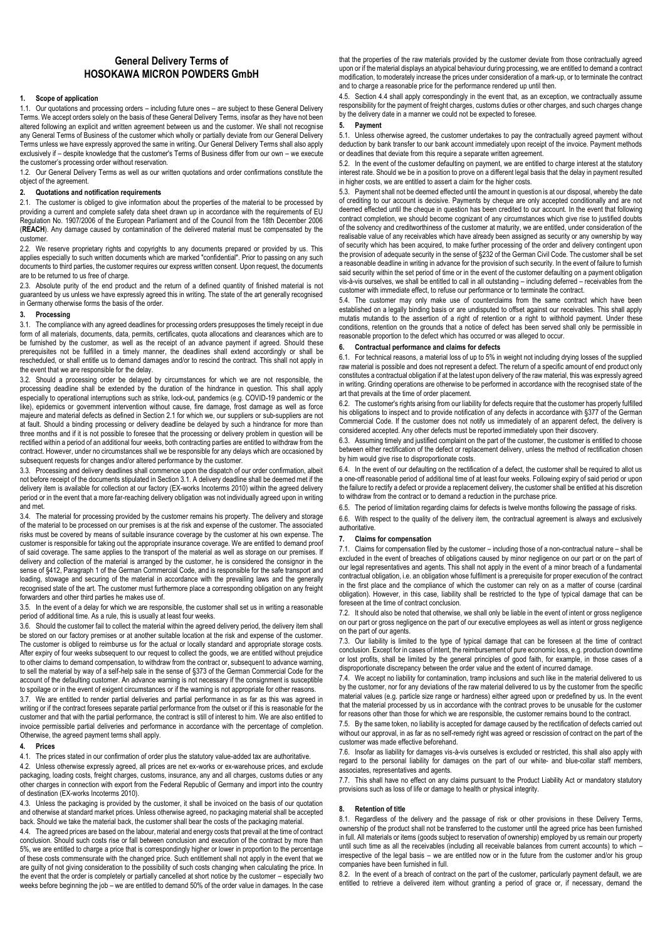# **General Delivery Terms of HOSOKAWA MICRON POWDERS GmbH**

### **1. Scope of application**

1.1. Our quotations and processing orders – including future ones – are subject to these General Delivery Terms. We accept orders solely on the basis of these General Delivery Terms, insofar as they have not been altered following an explicit and written agreement between us and the customer. We shall not recognise any General Terms of Business of the customer which wholly or partially deviate from our General Delivery Terms unless we have expressly approved the same in writing. Our General Delivery Terms shall also apply exclusively if – despite knowledge that the customer's Terms of Business differ from our own – we execute the customer's processing order without reservation.

1.2. Our General Delivery Terms as well as our written quotations and order confirmations constitute the object of the agreement.

## **2. Quotations and notification requirements**

2.1. The customer is obliged to give information about the properties of the material to be processed by providing a current and complete safety data sheet drawn up in accordance with the requirements of EU Regulation No. 1907/2006 of the European Parliament and of the Council from the 18th December 2006 (**REACH**). Any damage caused by contamination of the delivered material must be compensated by the customer.

2.2. We reserve proprietary rights and copyrights to any documents prepared or provided by us. This applies especially to such written documents which are marked "confidential". Prior to passing on any such documents to third parties, the customer requires our express written consent. Upon request, the documents are to be returned to us free of charge.

2.3. Absolute purity of the end product and the return of a defined quantity of finished material is not guaranteed by us unless we have expressly agreed this in writing. The state of the art generally recognised in Germany otherwise forms the basis of the order.

## **3. Processing**

3.1. The compliance with any agreed deadlines for processing orders presupposes the timely receipt in due form of all materials, documents, data, permits, certificates, quota allocations and clearances which are to be furnished by the customer, as well as the receipt of an advance payment if agreed. Should these prerequisites not be fulfilled in a timely manner, the deadlines shall extend accordingly or shall be rescheduled, or shall entitle us to demand damages and/or to rescind the contract. This shall not apply in the event that we are responsible for the delay.

3.2. Should a processing order be delayed by circumstances for which we are not responsible, the processing deadline shall be extended by the duration of the hindrance in question. This shall apply especially to operational interruptions such as strike, lock-out, pandemics (e.g. COVID-19 pandemic or the like), epidemics or government intervention without cause, fire damage, frost damage as well as force majeure and material defects as defined in Section 2.1 for which we, our suppliers or sub-suppliers are not at fault. Should a binding processing or delivery deadline be delayed by such a hindrance for more than three months and if it is not possible to foresee that the processing or delivery problem in question will be rectified within a period of an additional four weeks, both contracting parties are entitled to withdraw from the contract. However, under no circumstances shall we be responsible for any delays which are occasioned by subsequent requests for changes and/or altered performance by the customer.

3.3. Processing and delivery deadlines shall commence upon the dispatch of our order confirmation, albeit not before receipt of the documents stipulated in Section 3.1. A delivery deadline shall be deemed met if the delivery item is available for collection at our factory (EX-works Incoterms 2010) within the agreed delivery period or in the event that a more far-reaching delivery obligation was not individually agreed upon in writing and met.

3.4. The material for processing provided by the customer remains his property. The delivery and storage of the material to be processed on our premises is at the risk and expense of the customer. The associated risks must be covered by means of suitable insurance coverage by the customer at his own expense. The customer is responsible for taking out the appropriate insurance coverage. We are entitled to demand proof of said coverage. The same applies to the transport of the material as well as storage on our premises. If delivery and collection of the material is arranged by the customer, he is considered the consignor in the sense of §412, Paragraph 1 of the German Commercial Code, and is responsible for the safe transport and loading, stowage and securing of the material in accordance with the prevailing laws and the generally recognised state of the art. The customer must furthermore place a corresponding obligation on any freight forwarders and other third parties he makes use of.

3.5. In the event of a delay for which we are responsible, the customer shall set us in writing a reasonable period of additional time. As a rule, this is usually at least four weeks.

3.6. Should the customer fail to collect the material within the agreed delivery period, the delivery item shall be stored on our factory premises or at another suitable location at the risk and expense of the customer. The customer is obliged to reimburse us for the actual or locally standard and appropriate storage costs. After expiry of four weeks subsequent to our request to collect the goods, we are entitled without prejudice to other claims to demand compensation, to withdraw from the contract or, subsequent to advance warning, to sell the material by way of a self-help sale in the sense of §373 of the German Commercial Code for the account of the defaulting customer. An advance warning is not necessary if the consignment is susceptible to spoilage or in the event of exigent circumstances or if the warning is not appropriate for other reasons.

3.7. We are entitled to render partial deliveries and partial performance in as far as this was agreed in writing or if the contract foresees separate partial performance from the outset or if this is reasonable for the customer and that with the partial performance, the contract is still of interest to him. We are also entitled to invoice permissible partial deliveries and performance in accordance with the percentage of completion. Otherwise, the agreed payment terms shall apply.

### **4. Prices**

4.1. The prices stated in our confirmation of order plus the statutory value-added tax are authoritative.

4.2. Unless otherwise expressly agreed, all prices are net ex-works or ex-warehouse prices, and exclude packaging, loading costs, freight charges, customs, insurance, any and all charges, customs duties or any other charges in connection with export from the Federal Republic of Germany and import into the country of destination (EX-works Incoterms 2010).

4.3. Unless the packaging is provided by the customer, it shall be invoiced on the basis of our quotation and otherwise at standard market prices. Unless otherwise agreed, no packaging material shall be accepted back. Should we take the material back, the customer shall bear the costs of the packaging material.

4.4. The agreed prices are based on the labour, material and energy costs that prevail at the time of contract conclusion. Should such costs rise or fall between conclusion and execution of the contract by more than 5%, we are entitled to charge a price that is correspondingly higher or lower in proportion to the percentage of these costs commensurate with the changed price. Such entitlement shall not apply in the event that we are guilty of not giving consideration to the possibility of such costs changing when calculating the price. In the event that the order is completely or partially cancelled at short notice by the customer – especially two weeks before beginning the job – we are entitled to demand 50% of the order value in damages. In the case

that the properties of the raw materials provided by the customer deviate from those contractually agreed upon or if the material displays an atypical behaviour during processing, we are entitled to demand a contract modification, to moderately increase the prices under consideration of a mark-up, or to terminate the contract and to charge a reasonable price for the performance rendered up until then.

4.5. Section 4.4 shall apply correspondingly in the event that, as an exception, we contractually assume responsibility for the payment of freight charges, customs duties or other charges, and such charges change by the delivery date in a manner we could not be expected to foresee.

### **5. Payment**

5.1. Unless otherwise agreed, the customer undertakes to pay the contractually agreed payment without deduction by bank transfer to our bank account immediately upon receipt of the invoice. Payment methods or deadlines that deviate from this require a separate written agreement.

5.2. In the event of the customer defaulting on payment, we are entitled to charge interest at the statutory interest rate. Should we be in a position to prove on a different legal basis that the delay in payment resulted in higher costs, we are entitled to assert a claim for the higher costs.

5.3. Payment shall not be deemed effected until the amount in question is at our disposal, whereby the date of crediting to our account is decisive. Payments by cheque are only accepted conditionally and are not deemed effected until the cheque in question has been credited to our account. In the event that following contract completion, we should become cognizant of any circumstances which give rise to justified doubts of the solvency and creditworthiness of the customer at maturity, we are entitled, under consideration of the realisable value of any receivables which have already been assigned as security or any ownership by way of security which has been acquired, to make further processing of the order and delivery contingent upon the provision of adequate security in the sense of §232 of the German Civil Code. The customer shall be set a reasonable deadline in writing in advance for the provision of such security. In the event of failure to furnish said security within the set period of time or in the event of the customer defaulting on a payment obligation vis-à-vis ourselves, we shall be entitled to call in all outstanding – including deferred – receivables from the customer with immediate effect, to refuse our performance or to terminate the contract.

5.4. The customer may only make use of counterclaims from the same contract which have been established on a legally binding basis or are undisputed to offset against our receivables. This shall apply mutatis mutandis to the assertion of a right of retention or a right to withhold payment. Under these conditions, retention on the grounds that a notice of defect has been served shall only be permissible in reasonable proportion to the defect which has occurred or was alleged to occur.

## **6. Contractual performance and claims for defects**

6.1. For technical reasons, a material loss of up to 5% in weight not including drying losses of the supplied raw material is possible and does not represent a defect. The return of a specific amount of end product only constitutes a contractual obligation if at the latest upon delivery of the raw material, this was expressly agreed in writing. Grinding operations are otherwise to be performed in accordance with the recognised state of the art that prevails at the time of order placement.

6.2. The customer's rights arising from our liability for defects require that the customer has properly fulfilled his obligations to inspect and to provide notification of any defects in accordance with §377 of the German Commercial Code. If the customer does not notify us immediately of an apparent defect, the delivery is considered accepted. Any other defects must be reported immediately upon their discovery.

6.3. Assuming timely and justified complaint on the part of the customer, the customer is entitled to choose between either rectification of the defect or replacement delivery, unless the method of rectification chosen by him would give rise to disproportionate costs.

6.4. In the event of our defaulting on the rectification of a defect, the customer shall be required to allot us a one-off reasonable period of additional time of at least four weeks. Following expiry of said period or upon the failure to rectify a defect or provide a replacement delivery, the customer shall be entitled at his discretion to withdraw from the contract or to demand a reduction in the purchase price.

6.5. The period of limitation regarding claims for defects is twelve months following the passage of risks.

6.6. With respect to the quality of the delivery item, the contractual agreement is always and exclusively authoritative.

#### **7. Claims for compensation**

7.1. Claims for compensation filed by the customer – including those of a non-contractual nature – shall be excluded in the event of breaches of obligations caused by minor negligence on our part or on the part of our legal representatives and agents. This shall not apply in the event of a minor breach of a fundamental contractual obligation, i.e. an obligation whose fulfilment is a prerequisite for proper execution of the contract in the first place and the compliance of which the customer can rely on as a matter of course (cardinal obligation). However, in this case, liability shall be restricted to the type of typical damage that can be foreseen at the time of contract conclusion.

7.2. It should also be noted that otherwise, we shall only be liable in the event of intent or gross negligence on our part or gross negligence on the part of our executive employees as well as intent or gross negligence on the part of our agents.

7.3. Our liability is limited to the type of typical damage that can be foreseen at the time of contract conclusion. Except for in cases of intent, the reimbursement of pure economic loss, e.g. production downtime or lost profits, shall be limited by the general principles of good faith, for example, in those cases of a disproportionate discrepancy between the order value and the extent of incurred damage.

7.4. We accept no liability for contamination, tramp inclusions and such like in the material delivered to us by the customer, nor for any deviations of the raw material delivered to us by the customer from the specific material values (e.g. particle size range or hardness) either agreed upon or predefined by us. In the event that the material processed by us in accordance with the contract proves to be unusable for the customer for reasons other than those for which we are responsible, the customer remains bound to the contract.

7.5. By the same token, no liability is accepted for damage caused by the rectification of defects carried out without our approval, in as far as no self-remedy right was agreed or rescission of contract on the part of the customer was made effective beforehand.

7.6. Insofar as liability for damages vis-à-vis ourselves is excluded or restricted, this shall also apply with regard to the personal liability for damages on the part of our white- and blue-collar staff members, associates, representatives and agents.

7.7. This shall have no effect on any claims pursuant to the Product Liability Act or mandatory statutory provisions such as loss of life or damage to health or physical integrity.

#### **8. Retention of title**

8.1. Regardless of the delivery and the passage of risk or other provisions in these Delivery Terms, ownership of the product shall not be transferred to the customer until the agreed price has been furnished in full. All materials or items (goods subject to reservation of ownership) employed by us remain our property until such time as all the receivables (including all receivable balances from current accounts) to which – irrespective of the legal basis – we are entitled now or in the future from the customer and/or his group companies have been furnished in full.

8.2. In the event of a breach of contract on the part of the customer, particularly payment default, we are entitled to retrieve a delivered item without granting a period of grace or, if necessary, demand the